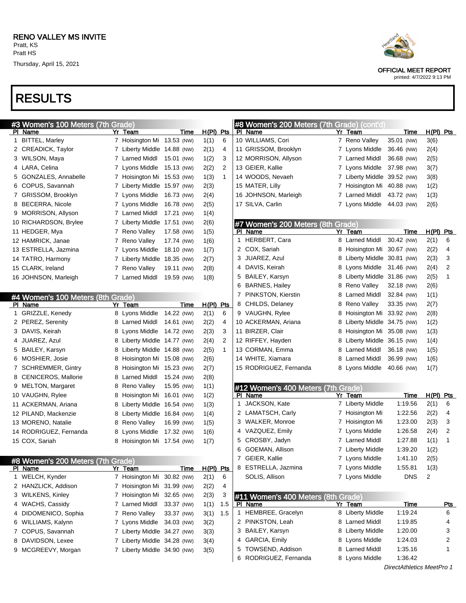# RESULTS

| #3 Women's 100 Meters (7th Grade) |                             |             |             |                | #8 Women's 200 Meters (7th Grade) (cont'd) |   |                             |             |           |                |
|-----------------------------------|-----------------------------|-------------|-------------|----------------|--------------------------------------------|---|-----------------------------|-------------|-----------|----------------|
| PI Name                           | Yr Team                     | Time        | $H(PI)$ Pts |                | PI Name                                    |   | Yr Team                     | Time        | H(PI) Pts |                |
| 1 BITTEL, Marley                  | 7 Hoisington Mi 13.53 (NW)  |             | 1(1)        | 6              | 10 WILLIAMS, Cori                          |   | 7 Reno Valley               | 35.01 (NW)  | 3(6)      |                |
| 2 CREADICK, Taylor                | 7 Liberty Middle 14.88 (NW) |             | 2(1)        | 4              | 11 GRISSOM, Brooklyn                       |   | 7 Lyons Middle              | 36.46 (NW)  | 2(4)      |                |
| 3 WILSON, Maya                    | 7 Larned Middl              | 15.01 (NW)  | 1(2)        | 3              | 12 MORRISON, Allyson                       |   | 7 Larned Middl              | 36.68 (NW)  | 2(5)      |                |
| 4 LARA, Celina                    | 7 Lyons Middle              | 15.13 (NW)  | 2(2)        | $\overline{2}$ | 13 GEIER, Kallie                           |   | 7 Lyons Middle              | 37.98 (NW)  | 3(7)      |                |
| 5 GONZALES, Annabelle             | 7 Hoisington Mi 15.53 (NW)  |             | 1(3)        | 1              | 14 WOODS, Nevaeh                           |   | 7 Liberty Middle 39.52 (NW) |             | 3(8)      |                |
| 6 COPUS, Savannah                 | 7 Liberty Middle 15.97 (NW) |             | 2(3)        |                | 15 MATER, Lilly                            |   | 7 Hoisington Mi 40.88 (NW)  |             | 1(2)      |                |
| 7 GRISSOM, Brooklyn               | 7 Lyons Middle              | 16.73 (NW)  | 2(4)        |                | 16 JOHNSON, Marleigh                       |   | 7 Larned Middl              | 43.72 (NW)  | 1(3)      |                |
| 8 BECERRA, Nicole                 | 7 Lyons Middle              | 16.78 (NW)  | 2(5)        |                | 17 SILVA, Carlin                           |   | 7 Lyons Middle              | 44.03 (NW)  | 2(6)      |                |
| 9 MORRISON, Allyson               | 7 Larned Middl              | 17.21 (NW)  | 1(4)        |                |                                            |   |                             |             |           |                |
| 10 RICHARDSON, Brylee             | 7 Liberty Middle 17.51 (NW) |             | 2(6)        |                | #7 Women's 200 Meters (8th Grade)          |   |                             |             |           |                |
| 11 HEDGER, Mya                    | 7 Reno Valley               | 17.58 (NW)  | 1(5)        |                | PI Name                                    |   | Yr Team                     | <u>Time</u> | H(PI) Pts |                |
| 12 HAMRICK, Janae                 | 7 Reno Valley               | 17.74 (NW)  | 1(6)        |                | 1 HERBERT, Cara                            |   | 8 Larned Middl              | 30.42 (NW)  | 2(1)      | 6              |
| 13 ESTRELLA, Jazmina              | 7 Lyons Middle              | 18.10 (NW)  | 1(7)        |                | 2 COX, Sariah                              |   | 8 Hoisington Mi 30.67 (NW)  |             | 2(2)      | 4              |
| 14 TATRO, Harmony                 | 7 Liberty Middle 18.35 (NW) |             | 2(7)        |                | JUAREZ, Azul<br>3.                         |   | 8 Liberty Middle 30.81 (NW) |             | 2(3)      | 3              |
| 15 CLARK, Ireland                 | 7 Reno Valley               | 19.11 (NW)  | 2(8)        |                | 4 DAVIS, Keirah                            |   | 8 Lyons Middle 31.46 (NW)   |             | 2(4)      | $\overline{c}$ |
| 16 JOHNSON, Marleigh              | 7 Larned Middl              | 19.59 (NW)  | 1(8)        |                | 5 BAILEY, Karsyn                           |   | 8 Liberty Middle 31.86 (NW) |             | 2(5)      | 1              |
|                                   |                             |             |             |                | 6 BARNES, Hailey                           |   | 8 Reno Valley               | 32.18 (NW)  | 2(6)      |                |
| #4 Women's 100 Meters (8th Grade) |                             |             |             |                | 7 PINKSTON, Kierstin                       |   | 8 Larned Middl              | 32.84 (NW)  | 1(1)      |                |
| PI Name                           | Yr Team                     | <b>Time</b> | H(PI)       | <u>Pts</u>     | 8 CHILDS, Delaney                          |   | 8 Reno Valley               | 33.35 (NW)  | 2(7)      |                |
| 1 GRIZZLE, Kenedy                 | 8 Lyons Middle              | 14.22 (NW)  | 2(1)        | 6              | 9 VAUGHN, Rylee                            | 8 | Hoisington Mi 33.92 (NW)    |             | 2(8)      |                |
| 2 PEREZ, Serenity                 | 8 Larned Middl              | 14.61 (NW)  | 2(2)        | 4              | 10 ACKERMAN, Ariana                        |   | 8 Liberty Middle 34.75 (NW) |             | 1(2)      |                |
| 3 DAVIS, Keirah                   | 8 Lyons Middle 14.72 (NW)   |             | 2(3)        | 3              | 11 BIRZER, Clair                           |   | 8 Hoisington Mi 35.08 (NW)  |             | 1(3)      |                |
| 4 JUAREZ, Azul                    | 8 Liberty Middle 14.77 (NW) |             | 2(4)        | $\overline{2}$ | 12 RIFFEY, Hayden                          | 8 | Liberty Middle 36.15 (NW)   |             | 1(4)      |                |
| 5 BAILEY, Karsyn                  | 8 Liberty Middle 14.88 (NW) |             | 2(5)        | 1              | 13 CORMAN, Emma                            |   | 8 Larned Middl              | 36.18 (NW)  | 1(5)      |                |
| 6 MOSHIER, Josie                  | 8 Hoisington Mi 15.08 (NW)  |             | 2(6)        |                | 14 WHITE, Xiamara                          |   | 8 Larned Middl              | 36.99 (NW)  | 1(6)      |                |
| 7 SCHREMMER, Gintry               | 8 Hoisington Mi 15.23 (NW)  |             | 2(7)        |                | 15 RODRIGUEZ, Fernanda                     |   | 8 Lyons Middle              | 40.66 (NW)  | 1(7)      |                |
| 8 CENICEROS, Mallorie             | 8 Larned Middl              | 15.24 (NW)  | 2(8)        |                |                                            |   |                             |             |           |                |
| 9 MELTON, Margaret                | 8 Reno Valley               | 15.95 (NW)  | 1(1)        |                | #12 Women's 400 Meters (7th Grade)         |   |                             |             |           |                |
| 10 VAUGHN, Rylee                  | 8 Hoisington Mi 16.01 (NW)  |             | 1(2)        |                | PI Name                                    |   | Yr Team                     | Time        | H(PI) Pts |                |
| 11 ACKERMAN, Ariana               | 8 Liberty Middle 16.54 (NW) |             | 1(3)        |                | 1 JACKSON, Kate                            |   | 7 Liberty Middle            | 1:19.56     | 2(1)      | 6              |
| 12 PILAND, Mackenzie              | 8 Liberty Middle 16.84 (NW) |             | 1(4)        |                | 2 LAMATSCH, Carly                          |   | 7 Hoisington Mi             | 1:22.56     | 2(2)      | 4              |
| 13 MORENO, Natalie                | 8 Reno Valley               | 16.99 (NW)  | 1(5)        |                | 3 WALKER, Monroe                           |   | 7 Hoisington Mi             | 1:23.00     | 2(3)      | 3              |
| 14 RODRIGUEZ, Fernanda            | 8 Lyons Middle 17.32 (NW)   |             | 1(6)        |                | 4 VAZQUEZ, Emily                           |   | 7 Lyons Middle              | 1:26.58     | 2(4)      | $\overline{c}$ |
| 15 COX, Sariah                    |                             |             |             |                | 5 CROSBY, Jadyn                            |   | 7 Larned Middl              | 1:27.88     | 1(1)      | $\mathbf{1}$   |
|                                   | 8 Hoisington Mi 17.54 (NW)  |             | 1(7)        |                | GOEMAN, Allison<br>6                       |   | 7 Liberty Middle            | 1:39.20     | 1(2)      |                |
|                                   |                             |             |             |                | 7 GEIER, Kallie                            |   | 7 Lyons Middle              | 1:41.10     |           |                |
| #8 Women's 200 Meters (7th Grade) |                             |             |             |                |                                            |   |                             |             | 2(5)      |                |
| PI Name                           | Yr Team                     | Time        | H(PI) Pts   |                | 8 ESTRELLA, Jazmina                        |   | 7 Lyons Middle              | 1:55.81     | 1(3)      |                |
| 1 WELCH, Kynder                   | 7 Hoisington Mi 30.82 (NW)  |             | 2(1)        | 6              | SOLIS, Allison                             |   | 7 Lyons Middle              | <b>DNS</b>  | 2         |                |
| 2 HANZLICK, Addison               | 7 Hoisington Mi 31.99 (NW)  |             | 2(2)        | 4              |                                            |   |                             |             |           |                |
| 3 WILKENS, Kinley                 | 7 Hoisington Mi 32.65 (NW)  |             | 2(3)        | 3              | #11 Women's 400 Meters (8th Grade)         |   |                             |             |           |                |
| 4 WACHS, Cassidy                  | 7 Larned Middl              | 33.37 (NW)  | 1(1)        | 1.5            | PI Name                                    |   | Yr Team                     | <b>Time</b> |           | <u>Pts</u>     |
| 4 DIDOMENICO, Sophia              | 7 Reno Valley               | 33.37 (NW)  | 3(1)        | 1.5            | 1 HEMBREE, Gracelyn                        |   | 8 Liberty Middle            | 1:19.24     |           | 6              |
| 6 WILLIAMS, Kalynn                | 7 Lyons Middle              | 34.03 (NW)  | 3(2)        |                | 2 PINKSTON, Leah                           |   | 8 Larned Middl              | 1:19.85     |           | 4              |
| 7 COPUS, Savannah                 | 7 Liberty Middle 34.27 (NW) |             | 3(3)        |                | 3 BAILEY, Karsyn                           |   | 8 Liberty Middle            | 1:20.00     |           | 3              |
| 8 DAVIDSON, Lexee                 | 7 Liberty Middle 34.28 (NW) |             | 3(4)        |                | 4 GARCIA, Emily                            |   | 8 Lyons Middle              | 1:24.03     |           | 2              |
| 9 MCGREEVY, Morgan                | 7 Liberty Middle 34.90 (NW) |             | 3(5)        |                | 5 TOWSEND, Addison                         |   | 8 Larned Middl              | 1:35.16     |           | 1              |
|                                   |                             |             |             |                | 6 RODRIGUEZ, Fernanda                      |   | 8 Lyons Middle              | 1:36.42     |           |                |
|                                   |                             |             |             |                |                                            |   |                             |             |           |                |



OFFICIAL MEET REPORT

printed: 4/7/2022 9:13 PM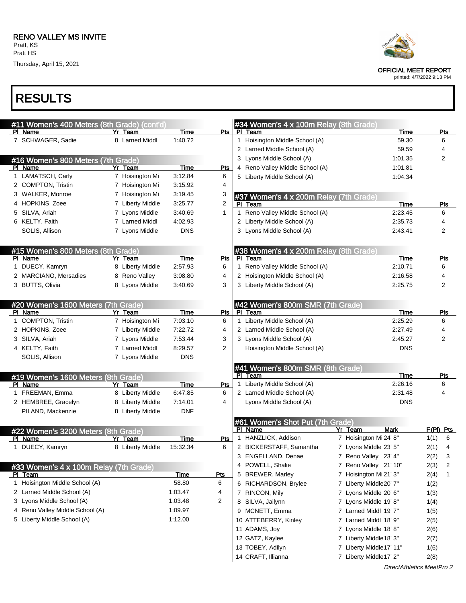Thursday, April 15, 2021



Pl Name

| #11 Women's 400 Meters (8th Grade) (cont'd)    |                  |             |                | #34 Women's 4 x 100m Relay (8th Grade)      |                         |             |
|------------------------------------------------|------------------|-------------|----------------|---------------------------------------------|-------------------------|-------------|
| PI Name                                        | Yr Team          | Time        | Pts            | PI Team                                     | Time                    | <b>Pts</b>  |
| 7 SCHWAGER, Sadie                              | 8 Larned Middl   | 1:40.72     |                | 1 Hoisington Middle School (A)              | 59.30                   | 6           |
|                                                |                  |             |                | 2 Larned Middle School (A)                  | 59.59                   | 4           |
| #16 Women's 800 Meters (7th Grade)             |                  |             |                | 3 Lyons Middle School (A)                   | 1:01.35                 | 2           |
| PI Name                                        | Yr Team          | Time        | Pts            | 4 Reno Valley Middle School (A)             | 1:01.81                 |             |
| 1 LAMATSCH, Carly                              | 7 Hoisington Mi  | 3:12.84     | 6              | 5 Liberty Middle School (A)                 | 1:04.34                 |             |
| 2 COMPTON, Tristin                             | 7 Hoisington Mi  | 3:15.92     | 4              |                                             |                         |             |
| 3 WALKER, Monroe                               | 7 Hoisington Mi  | 3:19.45     | 3              | #37 Women's 4 x 200m Relay (7th Grade)      |                         |             |
| 4 HOPKINS, Zoee                                | 7 Liberty Middle | 3:25.77     | $\overline{2}$ | PI Team                                     | Time                    | <b>Pts</b>  |
| 5 SILVA, Ariah                                 | 7 Lyons Middle   | 3:40.69     | 1              | 1 Reno Valley Middle School (A)             | 2:23.45                 | 6           |
| 6 KELTY, Faith                                 | 7 Larned Middl   | 4:02.93     |                | 2 Liberty Middle School (A)                 | 2:35.73                 | 4           |
| SOLIS, Allison                                 | 7 Lyons Middle   | <b>DNS</b>  |                | 3 Lyons Middle School (A)                   | 2:43.41                 | 2           |
| #15 Women's 800 Meters (8th Grade)             |                  |             |                | #38 Women's 4 x 200m Relay (8th Grade)      |                         |             |
| PI Name                                        | Yr Team          | Time        | Pts            | PI Team                                     | Time                    | Pts         |
| 1 DUECY, Kamryn                                | 8 Liberty Middle | 2:57.93     | 6              | 1 Reno Valley Middle School (A)             | 2:10.71                 | 6           |
| 2 MARCIANO, Mersadies                          | 8 Reno Valley    | 3:08.80     | 4              | 2 Hoisington Middle School (A)              | 2:16.58                 | 4           |
| 3 BUTTS, Olivia                                | 8 Lyons Middle   | 3:40.69     | 3              | 3 Liberty Middle School (A)                 | 2:25.75                 | 2           |
| #20 Women's 1600 Meters (7th Grade)            |                  |             |                | #42 Women's 800m SMR (7th Grade)            |                         |             |
| PI Name                                        | Yr Team          | Time        | Pts            | PI Team                                     | Time                    | <b>Pts</b>  |
| 1 COMPTON, Tristin                             | 7 Hoisington Mi  | 7:03.10     | 6              | 1 Liberty Middle School (A)                 | 2:25.29                 | 6           |
| 2 HOPKINS, Zoee                                | 7 Liberty Middle | 7:22.72     | 4              | 2 Larned Middle School (A)                  | 2:27.49                 | 4           |
| 3 SILVA, Ariah                                 | 7 Lyons Middle   | 7:53.44     | 3              | 3 Lyons Middle School (A)                   | 2:45.27                 | 2           |
| 4 KELTY, Faith                                 | 7 Larned Middl   | 8:29.57     | 2              | Hoisington Middle School (A)                | <b>DNS</b>              |             |
| SOLIS, Allison                                 | 7 Lyons Middle   | <b>DNS</b>  |                |                                             |                         |             |
| #19 Women's 1600 Meters (8th Grade)            |                  |             |                | #41 Women's 800m SMR (8th Grade)<br>PI Team | Time                    | Pts         |
| PI Name                                        | Yr Team          | Time        | Pts            | 1 Liberty Middle School (A)                 | 2:26.16                 | 6           |
| 1 FREEMAN, Emma                                | 8 Liberty Middle | 6:47.85     | 6              | 2 Larned Middle School (A)                  | 2:31.48                 | 4           |
| 2 HEMBREE, Gracelyn                            | 8 Liberty Middle | 7:14.01     | 4              | Lyons Middle School (A)                     | <b>DNS</b>              |             |
| PILAND, Mackenzie                              | 8 Liberty Middle | <b>DNF</b>  |                |                                             |                         |             |
|                                                |                  |             |                | 61 Women's Shot Put (7th Grade)<br>PI Name  | Yr Team<br>Mark         | $F(PI)$ Pts |
| #22 Women's 3200 Meters (8th Grade)<br>PI Name | Yr Team          | Time        | <u>Pts</u>     | 1 HANZLICK, Addison                         | 7 Hoisington Mi 24' 8"  | 1(1)<br>6   |
| 1 DUECY, Kamryn                                | 8 Liberty Middle | 15:32.34    | 6              | 2 BICKERSTAFF, Samantha                     | 7 Lyons Middle 23' 5"   | 2(1)<br>4   |
|                                                |                  |             |                | 3 ENGELLAND, Denae                          | 7 Reno Valley 23' 4"    | 2(2)<br>3   |
|                                                |                  |             |                | 4 POWELL, Shalie                            |                         |             |
| #33 Women's 4 x 100m Relay (7th Grade)         |                  |             |                |                                             | 7 Reno Valley 21' 10"   | 2(3)<br>2   |
| PI Team                                        |                  | <b>Time</b> | <u>Pts</u>     | 5 BREWER, Marley                            | 7 Hoisington Mi 21' 3"  | 2(4)<br>1   |
| 1 Hoisington Middle School (A)                 |                  | 58.80       | 6              | 6 RICHARDSON, Brylee                        | 7 Liberty Middle20' 7"  | 1(2)        |
| 2 Larned Middle School (A)                     |                  | 1:03.47     | 4              | 7 RINCON, Mily                              | 7 Lyons Middle 20' 6"   | 1(3)        |
| 3 Lyons Middle School (A)                      |                  | 1:03.48     | 2              | 8 SILVA, Jailynn                            | 7 Lyons Middle 19' 8"   | 1(4)        |
| 4 Reno Valley Middle School (A)                |                  | 1:09.97     |                | 9 MCNETT, Emma                              | 7 Larned Middl 19' 7"   | 1(5)        |
| 5 Liberty Middle School (A)                    |                  | 1:12.00     |                | 10 ATTEBERRY, Kinley                        | 7 Larned Middl 18' 9"   | 2(5)        |
|                                                |                  |             |                | 11 ADAMS, Joy                               | 7 Lyons Middle 18' 8"   | 2(6)        |
|                                                |                  |             |                | 12 GATZ, Kaylee                             | 7 Liberty Middle18' 3"  | 2(7)        |
|                                                |                  |             |                | 13 TOBEY, Adilyn                            | 7 Liberty Middle17' 11" | 1(6)        |

14 CRAFT, Illianna 7 Liberty Middle17' 2" 2(8)



OFFICIAL MEET REPORT

printed: 4/7/2022 9:13 PM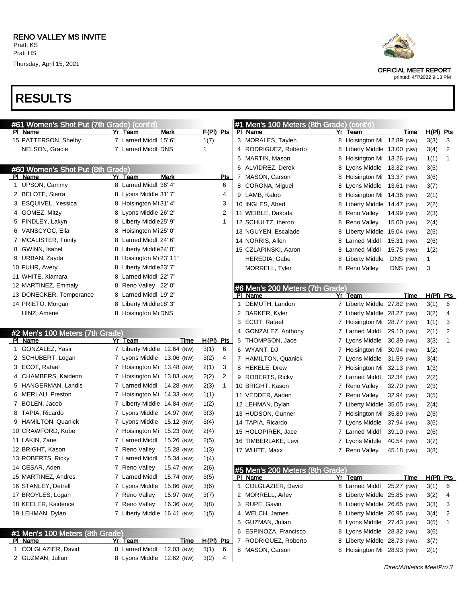Thursday, April 15, 2021

# RESULTS

|   | #61 Women's Shot Put (7th Grade) (cont'd) |                             |             |             |                |   | #1 Men's 100 Meters (8th Grade) (cont'd) |   |                             |            |      |                           |              |
|---|-------------------------------------------|-----------------------------|-------------|-------------|----------------|---|------------------------------------------|---|-----------------------------|------------|------|---------------------------|--------------|
|   | PI Name                                   | Yr Team                     | Mark        | $F(PI)$ Pts |                |   | PI Name                                  |   | Yr Team                     |            | Time | <u>H(PI)</u>              | Pts          |
|   | 15 PATTERSON, Shelby                      | 7 Larned Middl 15' 6"       |             | 1(7)        |                |   | 3 MORALES, Taylen                        |   | 8 Hoisington Mi 12.89 (NW)  |            |      | 3(3)                      | 3            |
|   | NELSON, Gracie                            | 7 Larned Middl DNS          |             | 1           |                |   | 4 RODRIGUEZ, Roberto                     |   | Liberty Middle 13.00 (NW)   |            |      | 3(4)                      | 2            |
|   |                                           |                             |             |             |                |   | 5 MARTIN, Mason                          | 8 | Hoisington Mi 13.26 (NW)    |            |      | 1(1)                      | $\mathbf{1}$ |
|   | #60 Women's Shot Put (8th Grade)          |                             |             |             |                |   | 6 ALVIDREZ, Derek                        | 8 | Lyons Middle 13.32 (NW)     |            |      | 3(5)                      |              |
|   | PI Name                                   | Yr Team                     | Mark        |             | Pts            |   | 7 MASON, Carson                          | 8 | Hoisington Mi 13.37 (NW)    |            |      | 3(6)                      |              |
|   | 1 UPSON, Cammy                            | 8 Larned Middl 36' 4"       |             |             | 6              |   | 8 CORONA, Miguel                         | 8 | Lyons Middle 13.61 (NW)     |            |      | 3(7)                      |              |
|   | 2 BELOTE, Sierra                          | 8 Lyons Middle 31'7"        |             |             | 4              |   | 9 LAMB, Kalob                            | 8 | Hoisington Mi 14.36 (NW)    |            |      | 2(1)                      |              |
|   | 3 ESQUIVEL, Yessica                       | 8 Hoisington Mi 31' 4"      |             |             | 3              |   | 10 INGLES, Abed                          | 8 | Liberty Middle 14.47 (NW)   |            |      | 2(2)                      |              |
|   | 4 GOMEZ, Mitzy                            | 8 Lyons Middle 26' 2"       |             |             | 2              |   | 11 WEIBLE, Dakoda                        | 8 | Reno Valley                 | 14.99 (NW) |      | 2(3)                      |              |
|   | 5 FINDLEY, Lakyn                          | 8 Liberty Middle25' 9"      |             |             | 1              |   | 12 SCHULTZ, theron                       | 8 | Reno Valley                 | 15.00 (NW) |      | 2(4)                      |              |
|   | 6 VANSCYOC, Ella                          | 8 Hoisington Mi 25' 0"      |             |             |                |   | 13 NGUYEN, Escalade                      | 8 | Liberty Middle 15.04 (NW)   |            |      | 2(5)                      |              |
|   | 7 MCALISTER, Trinity                      | 8 Larned Middl 24' 6"       |             |             |                |   | 14 NORRIS, Allen                         |   | 8 Larned Middl              | 15.31 (NW) |      | 2(6)                      |              |
|   | 8 GWINN, Isabel                           | 8 Liberty Middle24' 0"      |             |             |                |   | 15 CZLAPINSKI, Aaron                     | 8 | Larned Middl                | 15.75 (NW) |      | 1(2)                      |              |
|   | 9 URBAN, Zayda                            | 8 Hoisington Mi 23' 11"     |             |             |                |   | HEREDIA, Gabe                            | 8 | Liberty Middle              | DNS (NW)   |      | 1                         |              |
|   | 10 FUHR, Avery                            | 8 Liberty Middle23' 7"      |             |             |                |   | MORRELL, Tyler                           |   | 8 Reno Valley               | DNS (NW)   |      | 3                         |              |
|   | 11 WHITE, Xiamara                         | 8 Larned Middl 22' 7"       |             |             |                |   |                                          |   |                             |            |      |                           |              |
|   | 12 MARTINEZ, Emmaly                       | 8 Reno Valley 22' 0"        |             |             |                |   | #6 Men's 200 Meters (7th Grade)          |   |                             |            |      |                           |              |
|   | 13 DONECKER, Temperance                   | 8 Larned Middl 19' 2"       |             |             |                |   | PI Name                                  |   | Yr Team                     |            | Time | $H(PI)$ Pts               |              |
|   | 14 PRIETO, Morgan                         | 8 Liberty Middle18' 3"      |             |             |                | 1 | DEMUTH, Landon                           |   | 7 Liberty Middle 27.82 (NW) |            |      | 3(1)                      | 6            |
|   | HINZ, Amerie                              | 8 Hoisington Mi DNS         |             |             |                |   | 2 BARKER, Kyler                          |   | 7 Liberty Middle 28.27 (NW) |            |      | 3(2)                      | 4            |
|   |                                           |                             |             |             |                |   | 3 ECOT, Rafael                           |   | 7 Hoisington Mi 28.77 (NW)  |            |      | 1(1)                      | 3            |
|   | #2 Men's 100 Meters (7th Grade)           |                             |             |             |                |   | 4 GONZALEZ, Anthony                      |   | 7 Larned Middl 29.10 (NW)   |            |      | 2(1)                      | 2            |
|   | PI Name                                   | Yr Team                     | Time        | $H(PI)$ Pts |                |   | 5 THOMPSON, Jace                         |   | 7 Lyons Middle 30.39 (NW)   |            |      | 3(3)                      | $\mathbf{1}$ |
|   | 1 GONZALEZ, Yasir                         | 7 Liberty Middle 12.64 (NW) |             | 3(1)        | 6              |   | 6 WYANT, DJ                              |   | 7 Hoisington Mi 30.94 (NW)  |            |      | 1(2)                      |              |
|   | 2 SCHUBERT, Logan                         | 7 Lyons Middle 13.06 (NW)   |             | 3(2)        | 4              |   | 7 HAMILTON, Quanick                      |   | 7 Lyons Middle 31.59 (NW)   |            |      | 3(4)                      |              |
|   | 3 ECOT, Rafael                            | 7 Hoisington Mi 13.48 (NW)  |             | 2(1)        | 3              |   | 8 HEKELE, Drew                           |   | 7 Hoisington Mi 32.13 (NW)  |            |      | 1(3)                      |              |
| 4 | CHAMBERS, Kaidenn                         | 7 Hoisington Mi 13.83 (NW)  |             | 2(2)        | $\overline{c}$ |   | 9 ROBERTS, Ricky                         |   | 7 Larned Middl              | 32.34 (NW) |      | 2(2)                      |              |
|   | 5 HANGERMAN, Landis                       | 7 Larned Middl              | 14.28 (NW)  | 2(3)        | $\mathbf{1}$   |   | 10 BRIGHT, Kason                         |   | 7 Reno Valley               | 32.70 (NW) |      | 2(3)                      |              |
|   | 6 MERLAU, Preston                         | 7 Hoisington Mi 14.33 (NW)  |             | 1(1)        |                |   | 11 VEDDER, Aaden                         |   | 7 Reno Valley               | 32.94 (NW) |      | 3(5)                      |              |
|   | 7 BOLEN, Jacob                            | 7 Liberty Middle 14.84 (NW) |             | 1(2)        |                |   | 12 LEHMAN, Dylan                         |   | 7 Liberty Middle 35.05 (NW) |            |      | 2(4)                      |              |
|   | 8 TAPIA, Ricardo                          | 7 Lyons Middle              | 14.97 (NW)  | 3(3)        |                |   | 13 HUDSON, Gunner                        |   | 7 Hoisington Mi 35.89 (NW)  |            |      | 2(5)                      |              |
|   | 9 HAMILTON, Quanick                       | 7 Lyons Middle              | 15.12 (NW)  | 3(4)        |                |   | 14 TAPIA, Ricardo                        |   | 7 Lyons Middle 37.94 (NW)   |            |      | 3(6)                      |              |
|   | 10 CRAWFORD, Kobe                         | 7 Hoisington Mi 15.23 (NW)  |             | 2(4)        |                |   | 15 HOLOPIREK, Jace                       |   | 7 Larned Middl              | 39.10 (NW) |      | 2(6)                      |              |
|   | 11 LAKIN, Zane                            | 7 Larned Middl              | 15.26 (NW)  | 2(5)        |                |   | 16 TIMBERLAKE, Levi                      |   | 7 Lyons Middle              | 40.54 (NW) |      | 3(7)                      |              |
|   | 12 BRIGHT, Kason                          | 7 Reno Valley               | 15.28 (NW)  | 1(3)        |                |   | 17 WHITE, Maxx                           |   | 7 Reno Valley               | 45.18 (NW) |      | 3(8)                      |              |
|   | 13 ROBERTS, Ricky                         | 7 Larned Middl 15.34 (NW)   |             | 1(4)        |                |   |                                          |   |                             |            |      |                           |              |
|   | 14 CESAR, Aden                            | 7 Reno Valley               | 15.47 (NW)  | 2(6)        |                |   | #5 Men's 200 Meters (8th Grade)          |   |                             |            |      |                           |              |
|   | 15 MARTINEZ, Andres                       | 7 Larned Middl              | 15.74 (NW)  | 3(5)        |                |   | PI Name                                  |   | Yr Team                     |            | Time | $H(PI)$ Pts               |              |
|   | 16 STANLEY, Detrell                       | 7 Lyons Middle              | 15.86 (NW)  | 3(6)        |                |   | 1 COLGLAZIER, David                      |   | 8 Larned Middl              | 25.27 (NW) |      | 3(1)                      | 6            |
|   | 17 BROYLES, Logan                         | 7 Reno Valley               | 15.97 (NW)  | 3(7)        |                |   | 2 MORRELL, Arley                         |   | 8 Liberty Middle 25.85 (NW) |            |      | 3(2)                      | 4            |
|   | 18 KEELER, Kaidence                       | 7 Reno Valley               | 16.36 (NW)  | 3(8)        |                |   | 3 RUPE, Gavin                            |   | 8 Liberty Middle 26.65 (NW) |            |      | 3(3)                      | 3            |
|   | 19 LEHMAN, Dylan                          | 7 Liberty Middle 16.41 (NW) |             | 1(5)        |                |   | 4 WELCH, James                           |   | 8 Liberty Middle 26.95 (NW) |            |      | 3(4)                      | 2            |
|   |                                           |                             |             |             |                |   | 5 GUZMAN, Julian                         |   | 8 Lyons Middle 27.43 (NW)   |            |      | 3(5)                      | 1            |
|   | #1 Men's 100 Meters (8th Grade)           |                             |             |             |                |   | 6 ESPINOZA, Francisco                    |   | 8 Lyons Middle 28.32 (NW)   |            |      | 3(6)                      |              |
|   | <b>PI Name</b>                            | Yr Team                     | <u>Time</u> | $H(PI)$ Pts |                |   | 7 RODRIGUEZ, Roberto                     |   | 8 Liberty Middle 28.73 (NW) |            |      | 3(7)                      |              |
|   | 1 COLGLAZIER, David                       | 8 Larned Middl              | 12.03 (NW)  | 3(1)        | 6              |   | 8 MASON, Carson                          |   | 8 Hoisington Mi 28.93 (NW)  |            |      | 2(1)                      |              |
|   | 2 GUZMAN, Julian                          | 8 Lyons Middle              | 12.62 (NW)  | 3(2)        | 4              |   |                                          |   |                             |            |      |                           |              |
|   |                                           |                             |             |             |                |   |                                          |   |                             |            |      | DirectAthletics MeetPro 3 |              |





OFFICIAL MEET REPORT printed: 4/7/2022 9:13 PM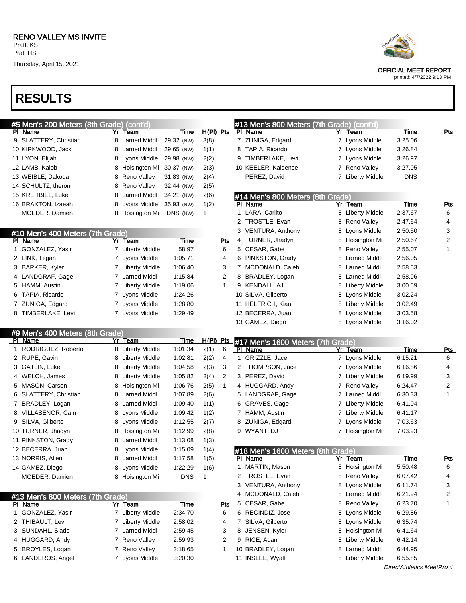Thursday, April 15, 2021

# RESULTS

| #5 Men's 200 Meters (8th Grade) (cont'd) |                  |             |                | #13 Men's 800 Meters (7th Grade) (cont'd) |                   |             |                |
|------------------------------------------|------------------|-------------|----------------|-------------------------------------------|-------------------|-------------|----------------|
| PI Name                                  | Yr Team          | Time        | $H(PI)$ Pts    | PI Name                                   | Yr Team           | <u>Time</u> | <b>Pts</b>     |
| 9 SLATTERY, Christian                    | 8 Larned Middl   | 29.32 (NW)  | 3(8)           | 7 ZUNIGA, Edgard                          | 7 Lyons Middle    | 3:25.06     |                |
| 10 KIRKWOOD, Jack                        | 8 Larned Middl   | 29.65 (NW)  | 1(1)           | 8 TAPIA, Ricardo                          | 7 Lyons Middle    | 3:26.84     |                |
| 11 LYON, Elijah                          | 8 Lyons Middle   | 29.98 (NW)  | 2(2)           | 9 TIMBERLAKE, Levi                        | 7 Lyons Middle    | 3:26.97     |                |
| 12 LAMB, Kalob                           | 8 Hoisington Mi  | 30.37 (NW)  | 2(3)           | 10 KEELER, Kaidence                       | 7 Reno Valley     | 3:27.05     |                |
| 13 WEIBLE, Dakoda                        | Reno Valley<br>8 | 31.83 (NW)  | 2(4)           | PEREZ, David                              | 7 Liberty Middle  | <b>DNS</b>  |                |
| 14 SCHULTZ, theron                       | Reno Valley<br>8 | 32.44 (NW)  | 2(5)           |                                           |                   |             |                |
| 15 KREHBIEL, Luke                        | 8 Larned Middl   | 34.21 (NW)  | 2(6)           | #14 Men's 800 Meters (8th Grade)          |                   |             |                |
| 16 BRAXTON, Izaeah                       | 8 Lyons Middle   | 35.93 (NW)  | 1(2)           | PI Name                                   | Yr Team           | <b>Time</b> | <u>Pts</u>     |
| MOEDER, Damien                           | 8 Hoisington Mi  | DNS (NW)    | 1              | 1 LARA, Carlito                           | 8 Liberty Middle  | 2:37.67     | 6              |
|                                          |                  |             |                | 2 TROSTLE, Evan                           | 8 Reno Valley     | 2:47.64     | 4              |
| #10 Men's 400 Meters (7th Grade)         |                  |             |                | 3 VENTURA, Anthony                        | Lyons Middle<br>8 | 2:50.50     | 3              |
| PI Name                                  | Yr Team          | <b>Time</b> | <u>Pts</u>     | 4 TURNER, Jhadyn                          | 8 Hoisington Mi   | 2:50.67     | $\overline{2}$ |
| 1 GONZALEZ, Yasir                        | 7 Liberty Middle | 58.97       | 6              | 5 CESAR, Gabe                             | 8 Reno Valley     | 2:55.07     | 1              |
| 2 LINK, Tegan                            | 7 Lyons Middle   | 1:05.71     | 4              | 6 PINKSTON, Grady                         | 8 Larned Middl    | 2:56.05     |                |
| 3 BARKER, Kyler                          | 7 Liberty Middle | 1:06.40     | 3              | 7 MCDONALD, Caleb                         | 8 Larned Middl    | 2:58.53     |                |
| 4 LANDGRAF, Gage                         | 7 Larned Middl   | 1:15.84     | $\overline{2}$ | 8 BRADLEY, Logan                          | 8 Larned Middl    | 2:58.96     |                |
| 5 HAMM, Austin                           | 7 Liberty Middle | 1:19.06     | $\mathbf{1}$   | 9 KENDALL, AJ                             | 8 Liberty Middle  | 3:00.59     |                |
| 6 TAPIA, Ricardo                         | 7 Lyons Middle   | 1:24.26     |                | 10 SILVA, Gilberto                        | 8 Lyons Middle    | 3:02.24     |                |
| 7 ZUNIGA, Edgard                         | 7 Lyons Middle   | 1:28.80     |                | 11 HELFRICH, Kian                         | 8 Liberty Middle  | 3:02.49     |                |
| 8 TIMBERLAKE, Levi                       | 7 Lyons Middle   | 1:29.49     |                | 12 BECERRA, Juan                          | 8 Lyons Middle    | 3:03.58     |                |
|                                          |                  |             |                | 13 GAMEZ, Diego                           | 8 Lyons Middle    | 3:16.02     |                |
| #9 Men's 400 Meters (8th Grade)          |                  |             |                |                                           |                   |             |                |
| PI Name                                  | Yr Team          | Time        | $H(PI)$ Pts    | #17 Men's 1600 Meters (7th Grade)         |                   |             |                |
| 1 RODRIGUEZ, Roberto                     | 8 Liberty Middle | 1:01.34     | 2(1)<br>6      | PI Name                                   | Yr Team           | Time        | <u>Pts</u>     |
| 2 RUPE, Gavin                            | 8 Liberty Middle | 1:02.81     | 2(2)<br>4      | 1 GRIZZLE, Jace                           | 7 Lyons Middle    | 6:15.21     | 6              |
| 3 GATLIN, Luke                           | 8 Liberty Middle | 1:04.58     | 2(3)<br>3      | 2 THOMPSON, Jace                          | 7 Lyons Middle    | 6:16.86     | 4              |
| WELCH, James<br>4                        | 8 Liberty Middle | 1:05.82     | 2(4)<br>2      | 3 PEREZ, David                            | 7 Liberty Middle  | 6:19.99     | 3              |
| 5 MASON, Carson                          | 8 Hoisington Mi  | 1:06.76     | 2(5)<br>1      | 4 HUGGARD, Andy                           | 7 Reno Valley     | 6:24.47     | 2              |
| SLATTERY, Christian<br>6                 | 8 Larned Middl   | 1:07.89     | 2(6)           | 5 LANDGRAF, Gage                          | 7 Larned Middl    | 6:30.33     | 1              |
| 7 BRADLEY, Logan                         | 8 Larned Middl   | 1:09.40     | 1(1)           | 6 GRAVES, Gage                            | 7 Liberty Middle  | 6:41.04     |                |
| 8 VILLASENOR, Cain                       | 8 Lyons Middle   | 1:09.42     | 1(2)           | 7 HAMM, Austin                            | 7 Liberty Middle  | 6:41.17     |                |
| 9 SILVA, Gilberto                        | 8 Lyons Middle   | 1:12.55     | 2(7)           | 8 ZUNIGA, Edgard                          | 7 Lyons Middle    | 7:03.63     |                |
| 10 TURNER, Jhadyn                        | 8 Hoisington Mi  | 1:12.99     | 2(8)           | 9 WYANT, DJ                               | 7 Hoisington Mi   | 7:03.93     |                |
| 11 PINKSTON, Grady                       | 8 Larned Middl   | 1:13.08     | 1(3)           |                                           |                   |             |                |
| 12 BECERRA, Juan                         | 8 Lyons Middle   | 1:15.09     | 1(4)           | #18 Men's 1600 Meters (8th Grade)         |                   |             |                |
| 13 NORRIS, Allen                         | 8 Larned Middl   | 1:17.58     | 1(5)           | <b>PI Name</b>                            | <u>Yr Team</u>    | <u>Time</u> | <u>Pts</u>     |
| 14 GAMEZ, Diego                          | 8 Lyons Middle   | 1:22.29     | 1(6)           | MARTIN, Mason<br>1                        | 8 Hoisington Mi   | 5:50.48     | 6              |
| MOEDER, Damien                           | 8 Hoisington Mi  | <b>DNS</b>  | 1              | 2 TROSTLE, Evan                           | 8 Reno Valley     | 6:07.42     | 4              |
|                                          |                  |             |                | 3 VENTURA, Anthony                        | 8 Lyons Middle    | 6:11.74     | 3              |
| #13 Men's 800 Meters (7th Grade)         |                  |             |                | 4 MCDONALD, Caleb                         | 8 Larned Middl    | 6:21.94     | 2              |
| PI Name                                  | Yr Team          | <b>Time</b> | <u>Pts</u>     | 5 CESAR, Gabe                             | 8 Reno Valley     | 6:23.70     | 1              |
| 1 GONZALEZ, Yasir                        | 7 Liberty Middle | 2:34.70     | 6              | 6 RECINDIZ, Jose                          | 8 Lyons Middle    | 6:29.86     |                |
| 2 THIBAULT, Levi                         | 7 Liberty Middle | 2:58.02     | 4              | 7 SILVA, Gilberto                         | 8 Lyons Middle    | 6:35.74     |                |
| SUNDAHL, Slade<br>3                      | 7 Larned Middl   | 2:59.45     | 3              | 8 JENSEN, Kyler                           | 8 Hoisington Mi   | 6:41.64     |                |
| 4 HUGGARD, Andy                          | 7 Reno Valley    | 2:59.93     | 2              | 9 RICE, Adan                              | 8 Liberty Middle  | 6:42.14     |                |
| BROYLES, Logan<br>5                      | 7 Reno Valley    | 3:18.65     | $\mathbf{1}$   | 10 BRADLEY, Logan                         | Larned Middl<br>8 | 6:44.95     |                |
| 6 LANDEROS, Angel                        | 7 Lyons Middle   | 3:20.30     |                | 11 INSLEE, Wyatt                          | 8 Liberty Middle  | 6:55.85     |                |
|                                          |                  |             |                |                                           |                   |             |                |



OFFICIAL MEET REPORT

printed: 4/7/2022 9:13 PM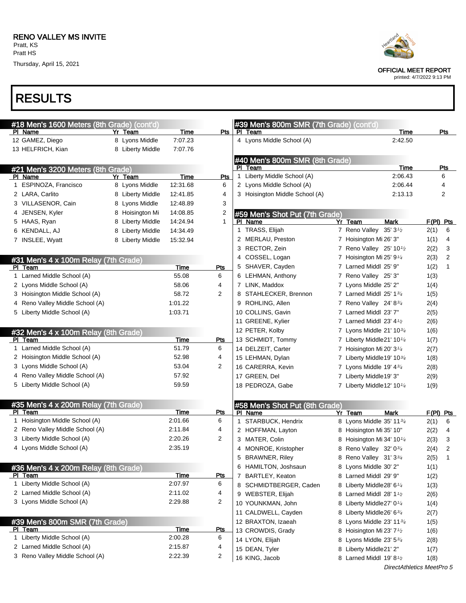Thursday, April 15, 2021

# RESULTS

| #18 Men's 1600 Meters (8th Grade) (cont'd)      |                     |             |                |   | #39 Men's 800m SMR (7th Grade) (cont'd) |                                                    |      |                  |
|-------------------------------------------------|---------------------|-------------|----------------|---|-----------------------------------------|----------------------------------------------------|------|------------------|
| PI Name                                         | Yr Team             | Time        | Pts            |   | PI Team                                 | Time                                               |      | <u>Pts</u>       |
| 12 GAMEZ, Diego                                 | 8 Lyons Middle      | 7:07.23     |                |   | 4 Lyons Middle School (A)               | 2:42.50                                            |      |                  |
| 13 HELFRICH, Kian                               | 8 Liberty Middle    | 7:07.76     |                |   |                                         |                                                    |      |                  |
|                                                 |                     |             |                |   | #40 Men's 800m SMR (8th Grade)          |                                                    |      |                  |
| #21 Men's 3200 Meters (8th Grade)               |                     |             |                |   | PI Team                                 | Time                                               |      | Pts              |
| PI Name                                         | Yr Team             | Time        | Pts            |   | 1 Liberty Middle School (A)             | 2:06.43                                            |      | 6                |
| 1 ESPINOZA, Francisco                           | 8 Lyons Middle      | 12:31.68    | 6              |   | 2 Lyons Middle School (A)               | 2:06.44                                            |      | 4                |
| 2 LARA, Carlito                                 | 8 Liberty Middle    | 12:41.85    | 4              |   | 3 Hoisington Middle School (A)          | 2:13.13                                            |      | 2                |
| 3 VILLASENOR, Cain                              | 8 Lyons Middle      | 12:48.89    | 3              |   |                                         |                                                    |      |                  |
| 4 JENSEN, Kyler                                 | 8 Hoisington Mi     | 14:08.85    | 2              |   | #59 Men's Shot Put (7th Grade)          |                                                    |      |                  |
| 5 HAAS, Ryan                                    | 8 Liberty Middle    | 14:24.94    | 1              |   | PI Name                                 | Yr Team<br>Mark                                    |      | $F(PI)$ Pts      |
| 6 KENDALL, AJ                                   | Liberty Middle<br>8 | 14:34.49    |                |   | 1 TRASS, Elijah                         | 7 Reno Valley 35' 3 <sup>1</sup> /2                | 2(1) | 6                |
| 7 INSLEE, Wyatt                                 | 8 Liberty Middle    | 15:32.94    |                |   | 2 MERLAU, Preston                       | 7 Hoisington Mi 26' 3"                             | 1(1) | 4                |
|                                                 |                     |             |                |   | 3 RECTOR, Zein                          | 7 Reno Valley 25' 10 <sup>1/2</sup>                | 2(2) | 3                |
| #31 Men's 4 x 100m Relay (7th Grade)            |                     |             |                |   | 4 COSSEL, Logan                         | 7 Hoisington Mi 25' $9\frac{1}{4}$                 | 2(3) | 2                |
| PI Team                                         |                     | Time        | Pts            |   | 5 SHAVER, Cayden                        | 7 Larned Middl 25' 9"                              | 1(2) | 1                |
| 1 Larned Middle School (A)                      |                     | 55.08       | 6              |   | 6 LEHMAN, Anthony                       | 7 Reno Valley 25' 3"                               | 1(3) |                  |
| 2 Lyons Middle School (A)                       |                     | 58.06       | 4              |   | 7 LINK, Maddox                          | 7 Lyons Middle 25' 2"                              | 1(4) |                  |
| 3 Hoisington Middle School (A)                  |                     | 58.72       | $\overline{2}$ |   | 8 STAHLECKER, Brennon                   | 7 Larned Middl 25' 13/4                            | 1(5) |                  |
| 4 Reno Valley Middle School (A)                 |                     | 1:01.22     |                |   | 9 ROHLING, Allen                        | 7 Reno Valley 24' 83/4                             | 2(4) |                  |
| 5 Liberty Middle School (A)                     |                     | 1:03.71     |                |   | 10 COLLINS, Gavin                       | 7 Larned Middl 23' 7"                              | 2(5) |                  |
|                                                 |                     |             |                |   | 11 GREENE, Kylier                       | 7 Larned Middl 23' 4 <sup>1/2</sup>                | 2(6) |                  |
| #32 Men's 4 x 100m Relay (8th Grade)            |                     |             |                |   | 12 PETER, Kolby                         | 7 Lyons Middle 21' 103/4                           | 1(6) |                  |
| PI Team                                         |                     | Time        | Pts            |   | 13 SCHMIDT, Tommy                       | 7 Liberty Middle21' 101/4                          | 1(7) |                  |
| 1 Larned Middle School (A)                      |                     | 51.79       | 6              |   | 14 DELZEIT, Carter                      | 7 Hoisington Mi 20' $3\frac{1}{4}$                 | 2(7) |                  |
| 2 Hoisington Middle School (A)                  |                     | 52.98       | 4              |   | 15 LEHMAN, Dylan                        | 7 Liberty Middle 19' 103/4                         | 1(8) |                  |
| 3 Lyons Middle School (A)                       |                     | 53.04       | 2              |   | 16 CARERRA, Kevin                       | 7 Lyons Middle 19' $4\frac{3}{4}$                  | 2(8) |                  |
| 4 Reno Valley Middle School (A)                 |                     | 57.92       |                |   | 17 GREEN, Del                           | 7 Liberty Middle19' 3"                             | 2(9) |                  |
| 5 Liberty Middle School (A)                     |                     | 59.59       |                |   | 18 PEDROZA, Gabe                        | 7 Liberty Middle 12' 10 <sup>1/4</sup>             | 1(9) |                  |
|                                                 |                     |             |                |   |                                         |                                                    |      |                  |
| #35 Men's 4 x 200m Relay (7th Grade)<br>PI Team |                     | Time        | Pts            |   | #58 Men's Shot Put (8th Grade)          |                                                    |      |                  |
| 1 Hoisington Middle School (A)                  |                     | 2:01.66     | 6              |   | PI Name<br>1 STARBUCK, Hendrix          | Yr Team<br><b>Mark</b><br>8 Lyons Middle 35' 113/4 | 2(1) | $F(PI)$ Pts<br>6 |
| 2 Reno Valley Middle School (A)                 |                     | 2:11.84     | 4              |   | 2 HOFFMAN, Layton                       | 8 Hoisington Mi 35' 10"                            | 2(2) | 4                |
| 3 Liberty Middle School (A)                     |                     | 2:20.26     | 2              |   | 3 MATER, Colin                          | 8 Hoisington Mi 34' 10 <sup>1/4</sup>              |      | 3                |
| 4 Lyons Middle School (A)                       |                     | 2:35.19     |                |   | MONROE, Kristopher                      | 8 Reno Valley 32' 03/4                             | 2(3) | 2                |
|                                                 |                     |             |                | 4 |                                         | 8 Reno Valley 31' 33/4                             | 2(4) | 1                |
|                                                 |                     |             |                |   | 5 BRAWNER, Riley                        |                                                    | 2(5) |                  |
| #36 Men's 4 x 200m Relay (8th Grade)<br>PI Team |                     | Time        | Pts            |   | 6 HAMILTON, Joshsaun                    | 8 Lyons Middle 30' 2"                              | 1(1) |                  |
| 1 Liberty Middle School (A)                     |                     | 2:07.97     | 6              | 7 | BARTLEY, Keaton                         | 8 Larned Middl 29' 9"                              | 1(2) |                  |
| 2 Larned Middle School (A)                      |                     | 2:11.02     | 4              |   | 8 SCHMIDTBERGER, Caden                  | 8 Liberty Middle28' 6 <sup>1/4</sup>               | 1(3) |                  |
| 3 Lyons Middle School (A)                       |                     | 2:29.88     | 2              |   | 9 WEBSTER, Elijah                       | 8 Larned Middl 28' $1\frac{1}{2}$                  | 2(6) |                  |
|                                                 |                     |             |                |   | 10 YOUNKMAN, John                       | 8 Liberty Middle27' 0 <sup>1/4</sup>               | 1(4) |                  |
|                                                 |                     |             |                |   | 11 CALDWELL, Cayden                     | 8 Liberty Middle26' 63/4                           | 2(7) |                  |
| #39 Men's 800m SMR (7th Grade)<br>PI Team       |                     | <b>Time</b> | <u>Pts</u>     |   | 12 BRAXTON, Izaeah                      | 8 Lyons Middle 23' 1134                            | 1(5) |                  |
| 1 Liberty Middle School (A)                     |                     | 2:00.28     | 6              |   | 13 CROWDIS, Grady                       | 8 Hoisington Mi 23' 7 <sup>1</sup> /2              | 1(6) |                  |
| 2 Larned Middle School (A)                      |                     | 2:15.87     | 4              |   | 14 LYON, Elijah                         | 8 Lyons Middle 23' 53/4                            | 2(8) |                  |
| 3 Reno Valley Middle School (A)                 |                     | 2:22.39     | 2              |   | 15 DEAN, Tyler                          | 8 Liberty Middle21' 2"                             | 1(7) |                  |
|                                                 |                     |             |                |   | 16 KING, Jacob                          | 8 Larned Middl 19' 8 <sup>1</sup> /2               | 1(8) |                  |



OFFICIAL MEET REPORT

printed: 4/7/2022 9:13 PM